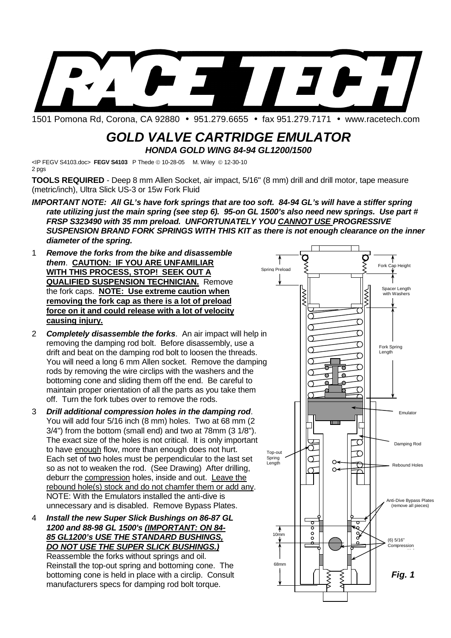

1501 Pomona Rd, Corona, CA 92880 • 951.279.6655 • fax 951.279.7171 • www.racetech.com

## **GOLD VALVE CARTRIDGE EMULATOR HONDA GOLD WING 84-94 GL1200/1500**

<IP FEGV S4103.doc> FEGV S4103 P Thede © 10-28-05 M. Wiley © 12-30-10 2 pgs

**TOOLS REQUIRED** - Deep 8 mm Allen Socket, air impact, 5/16" (8 mm) drill and drill motor, tape measure (metric/inch), Ultra Slick US-3 or 15w Fork Fluid

- **IMPORTANT NOTE: All GL's have fork springs that are too soft. 84-94 GL's will have a stiffer spring rate utilizing just the main spring (see step 6). 95-on GL 1500's also need new springs. Use part # FRSP S323490 with 35 mm preload. UNFORTUNATELY YOU CANNOT USE PROGRESSIVE SUSPENSION BRAND FORK SPRINGS WITH THIS KIT as there is not enough clearance on the inner diameter of the spring.**
- 1 **Remove the forks from the bike and disassemble them**. **CAUTION: IF YOU ARE UNFAMILIAR WITH THIS PROCESS, STOP! SEEK OUT A QUALIFIED SUSPENSION TECHNICIAN.** Remove the fork caps. **NOTE: Use extreme caution when removing the fork cap as there is a lot of preload force on it and could release with a lot of velocity causing injury.**
- 2 **Completely disassemble the forks**. An air impact will help in removing the damping rod bolt. Before disassembly, use a drift and beat on the damping rod bolt to loosen the threads. You will need a long 6 mm Allen socket. Remove the damping rods by removing the wire circlips with the washers and the bottoming cone and sliding them off the end. Be careful to maintain proper orientation of all the parts as you take them off. Turn the fork tubes over to remove the rods.
- 3 **Drill additional compression holes in the damping rod**. You will add four 5/16 inch (8 mm) holes. Two at 68 mm (2 3/4") from the bottom (small end) and two at 78mm (3 1/8"). The exact size of the holes is not critical. It is only important to have enough flow, more than enough does not hurt. Each set of two holes must be perpendicular to the last set so as not to weaken the rod. (See Drawing) After drilling, deburr the compression holes, inside and out. Leave the rebound hole(s) stock and do not chamfer them or add any. NOTE: With the Emulators installed the anti-dive is unnecessary and is disabled. Remove Bypass Plates.

4 **Install the new Super Slick Bushings on 86-87 GL 1200 and 88-98 GL 1500's (IMPORTANT: ON 84- 85 GL1200's USE THE STANDARD BUSHINGS, DO NOT USE THE SUPER SLICK BUSHINGS.)** Reassemble the forks without springs and oil. Reinstall the top-out spring and bottoming cone. The bottoming cone is held in place with a circlip. Consult manufacturers specs for damping rod bolt torque.